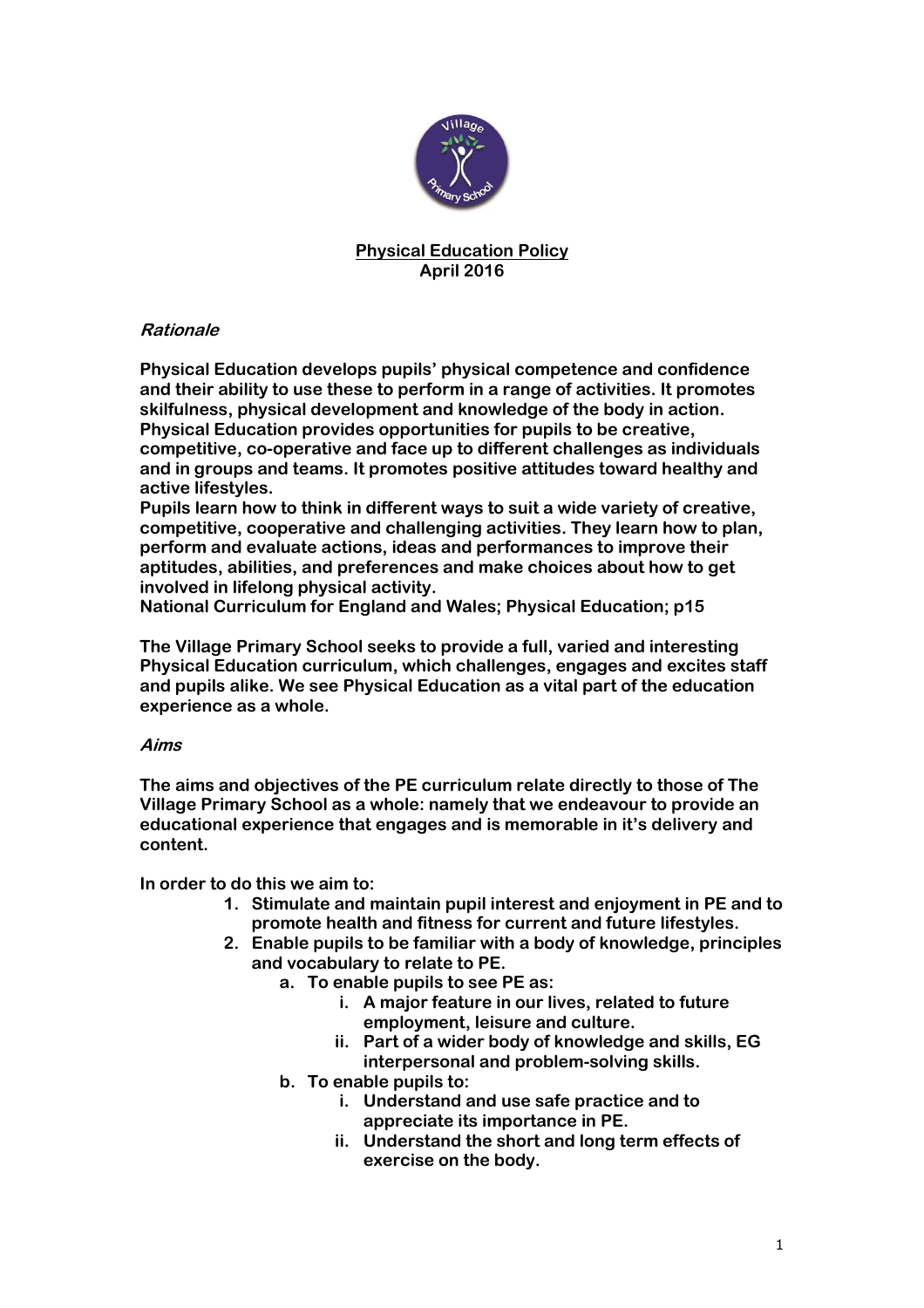

## **Physical Education Policy April 2016**

# **Rationale**

**Physical Education develops pupils' physical competence and confidence and their ability to use these to perform in a range of activities. It promotes skilfulness, physical development and knowledge of the body in action. Physical Education provides opportunities for pupils to be creative, competitive, co-operative and face up to different challenges as individuals and in groups and teams. It promotes positive attitudes toward healthy and active lifestyles.**

**Pupils learn how to think in different ways to suit a wide variety of creative, competitive, cooperative and challenging activities. They learn how to plan, perform and evaluate actions, ideas and performances to improve their aptitudes, abilities, and preferences and make choices about how to get involved in lifelong physical activity.**

**National Curriculum for England and Wales; Physical Education; p15**

**The Village Primary School seeks to provide a full, varied and interesting Physical Education curriculum, which challenges, engages and excites staff and pupils alike. We see Physical Education as a vital part of the education experience as a whole.**

# **Aims**

**The aims and objectives of the PE curriculum relate directly to those of The Village Primary School as a whole: namely that we endeavour to provide an educational experience that engages and is memorable in it's delivery and content.**

**In order to do this we aim to:**

- **1. Stimulate and maintain pupil interest and enjoyment in PE and to promote health and fitness for current and future lifestyles.**
- **2. Enable pupils to be familiar with a body of knowledge, principles and vocabulary to relate to PE.**
	- **a. To enable pupils to see PE as:**
		- **i. A major feature in our lives, related to future employment, leisure and culture.**
		- **ii. Part of a wider body of knowledge and skills, EG interpersonal and problem-solving skills.**
	- **b. To enable pupils to:**
		- **i. Understand and use safe practice and to appreciate its importance in PE.**
		- **ii. Understand the short and long term effects of exercise on the body.**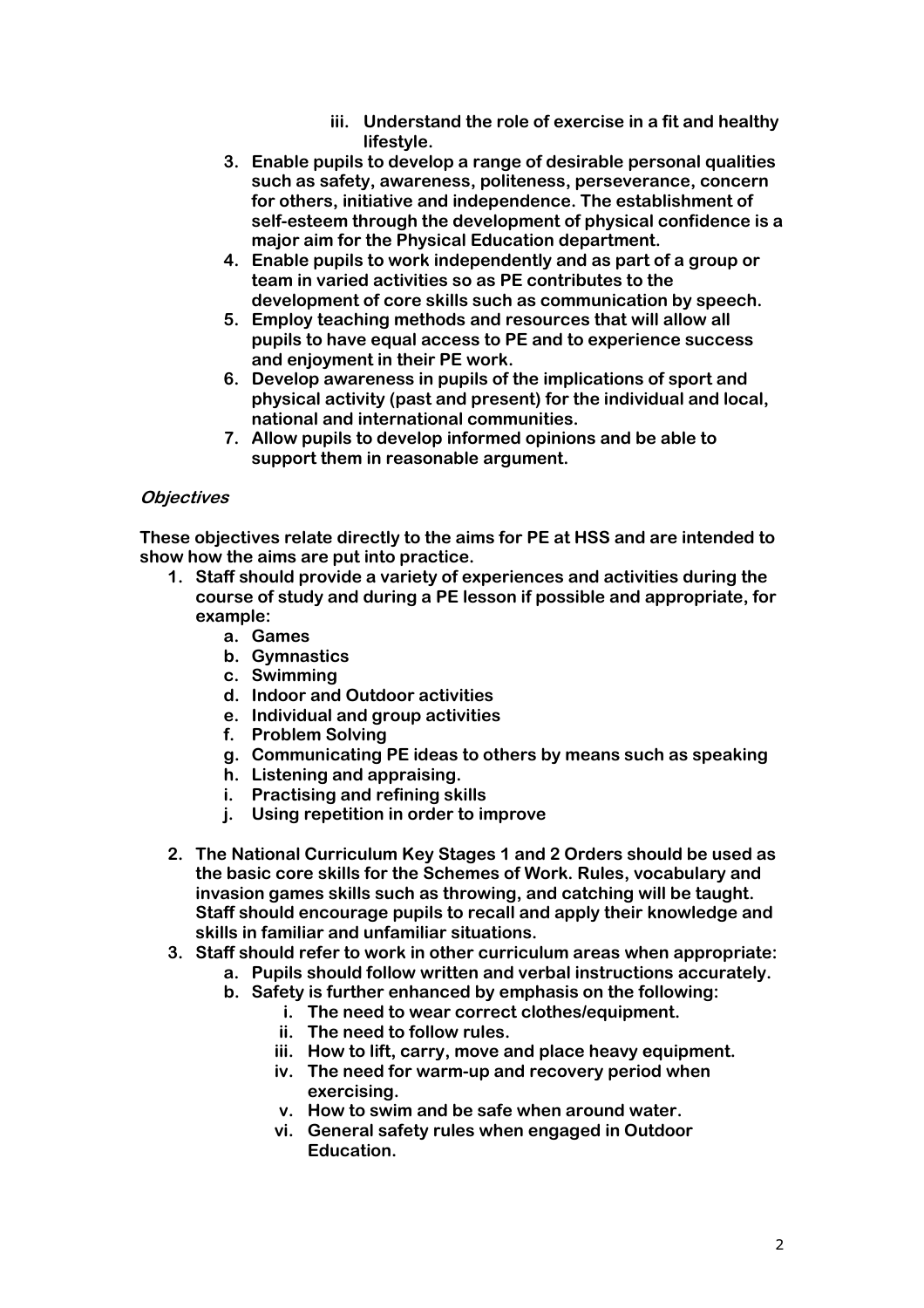- **iii. Understand the role of exercise in a fit and healthy lifestyle.**
- **3. Enable pupils to develop a range of desirable personal qualities such as safety, awareness, politeness, perseverance, concern for others, initiative and independence. The establishment of self-esteem through the development of physical confidence is a major aim for the Physical Education department.**
- **4. Enable pupils to work independently and as part of a group or team in varied activities so as PE contributes to the development of core skills such as communication by speech.**
- **5. Employ teaching methods and resources that will allow all pupils to have equal access to PE and to experience success and enjoyment in their PE work.**
- **6. Develop awareness in pupils of the implications of sport and physical activity (past and present) for the individual and local, national and international communities.**
- **7. Allow pupils to develop informed opinions and be able to support them in reasonable argument.**

## **Objectives**

**These objectives relate directly to the aims for PE at HSS and are intended to show how the aims are put into practice.**

- **1. Staff should provide a variety of experiences and activities during the course of study and during a PE lesson if possible and appropriate, for example:**
	- **a. Games**
	- **b. Gymnastics**
	- **c. Swimming**
	- **d. Indoor and Outdoor activities**
	- **e. Individual and group activities**
	- **f. Problem Solving**
	- **g. Communicating PE ideas to others by means such as speaking**
	- **h. Listening and appraising.**
	- **i. Practising and refining skills**
	- **j. Using repetition in order to improve**
- **2. The National Curriculum Key Stages 1 and 2 Orders should be used as the basic core skills for the Schemes of Work. Rules, vocabulary and invasion games skills such as throwing, and catching will be taught. Staff should encourage pupils to recall and apply their knowledge and skills in familiar and unfamiliar situations.**
- **3. Staff should refer to work in other curriculum areas when appropriate:**
	- **a. Pupils should follow written and verbal instructions accurately.**
		- **b. Safety is further enhanced by emphasis on the following:**
			- **i. The need to wear correct clothes/equipment.**
			- **ii. The need to follow rules.**
			- **iii. How to lift, carry, move and place heavy equipment.**
			- **iv. The need for warm-up and recovery period when exercising.**
			- **v. How to swim and be safe when around water.**
			- **vi. General safety rules when engaged in Outdoor Education.**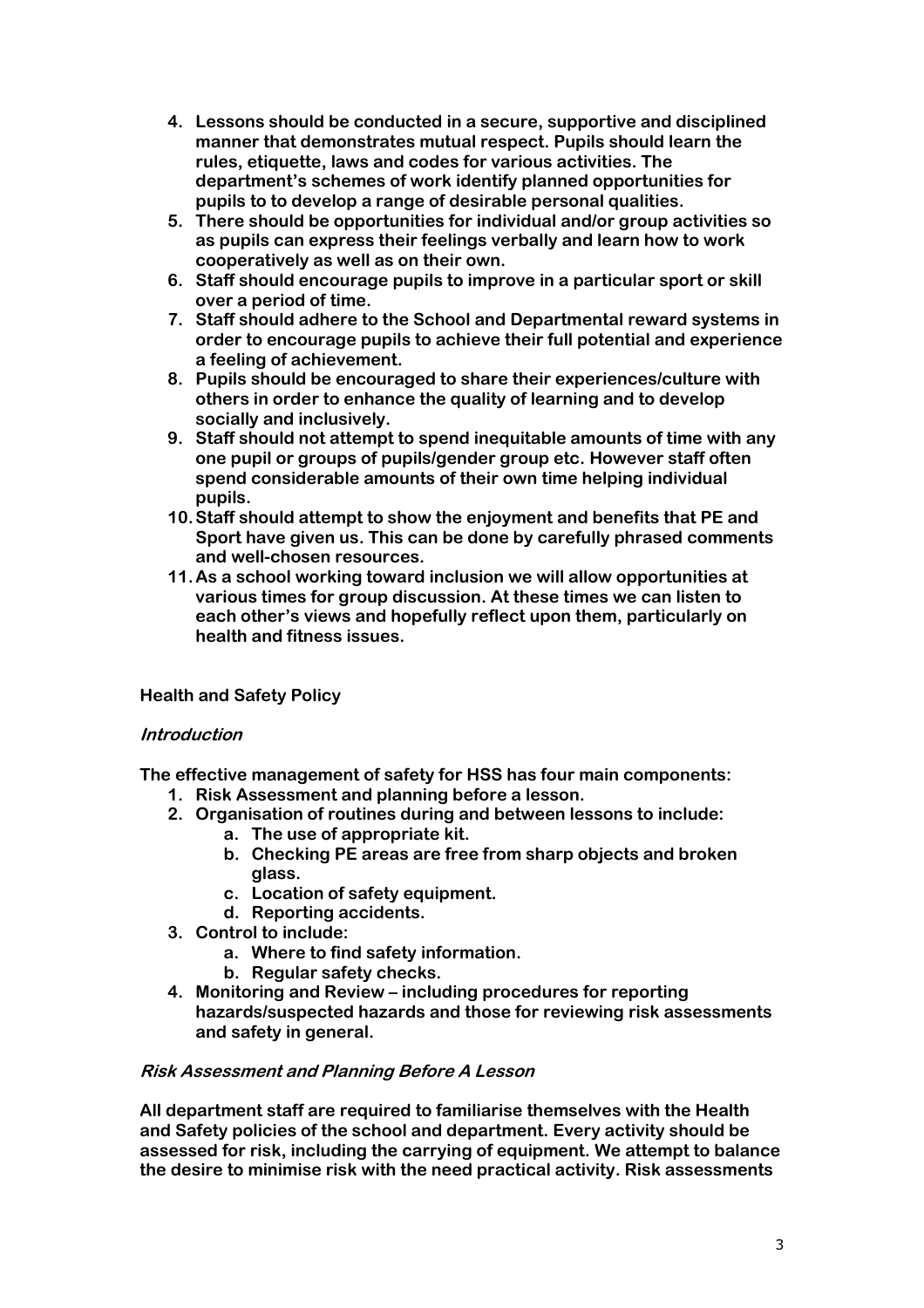- **4. Lessons should be conducted in a secure, supportive and disciplined manner that demonstrates mutual respect. Pupils should learn the rules, etiquette, laws and codes for various activities. The department's schemes of work identify planned opportunities for pupils to to develop a range of desirable personal qualities.**
- **5. There should be opportunities for individual and/or group activities so as pupils can express their feelings verbally and learn how to work cooperatively as well as on their own.**
- **6. Staff should encourage pupils to improve in a particular sport or skill over a period of time.**
- **7. Staff should adhere to the School and Departmental reward systems in order to encourage pupils to achieve their full potential and experience a feeling of achievement.**
- **8. Pupils should be encouraged to share their experiences/culture with others in order to enhance the quality of learning and to develop socially and inclusively.**
- **9. Staff should not attempt to spend inequitable amounts of time with any one pupil or groups of pupils/gender group etc. However staff often spend considerable amounts of their own time helping individual pupils.**
- **10.Staff should attempt to show the enjoyment and benefits that PE and Sport have given us. This can be done by carefully phrased comments and well-chosen resources.**
- **11.As a school working toward inclusion we will allow opportunities at various times for group discussion. At these times we can listen to each other's views and hopefully reflect upon them, particularly on health and fitness issues.**

### **Health and Safety Policy**

### **Introduction**

**The effective management of safety for HSS has four main components:**

- **1. Risk Assessment and planning before a lesson.**
- **2. Organisation of routines during and between lessons to include:**
	- **a. The use of appropriate kit.**
	- **b. Checking PE areas are free from sharp objects and broken glass.**
	- **c. Location of safety equipment.**
	- **d. Reporting accidents.**
- **3. Control to include:**
	- **a. Where to find safety information.**
	- **b. Regular safety checks.**
- **4. Monitoring and Review – including procedures for reporting hazards/suspected hazards and those for reviewing risk assessments and safety in general.**

### **Risk Assessment and Planning Before A Lesson**

**All department staff are required to familiarise themselves with the Health and Safety policies of the school and department. Every activity should be assessed for risk, including the carrying of equipment. We attempt to balance the desire to minimise risk with the need practical activity. Risk assessments**